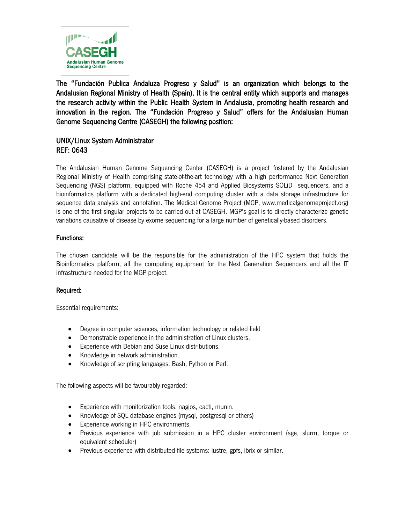

The "Fundación Publica Andaluza Progreso y Salud" is an organization which belongs to the Andalusian Regional Ministry of Health (Spain). It is the central entity which supports and manages the research activity within the Public Health System in Andalusia, promoting health research and innovation in the region. The "Fundación Progreso y Salud" offers for the Andalusian Human Genome Sequencing Centre (CASEGH) the following position:

# UNIX/Linux System Administrator REF: 0643

The Andalusian Human Genome Sequencing Center (CASEGH) is a project fostered by the Andalusian Regional Ministry of Health comprising state-of-the-art technology with a high performance Next Generation Sequencing (NGS) platform, equipped with Roche 454 and Applied Biosystems SOLiD sequencers, and a bioinformatics platform with a dedicated high-end computing cluster with a data storage infrastructure for sequence data analysis and annotation. The Medical Genome Project (MGP, www.medicalgenomeproject.org) is one of the first singular projects to be carried out at CASEGH. MGP's goal is to directly characterize genetic variations causative of disease by exome sequencing for a large number of genetically-based disorders.

## Functions:

The chosen candidate will be the responsible for the administration of the HPC system that holds the Bioinformatics platform, all the computing equipment for the Next Generation Sequencers and all the IT infrastructure needed for the MGP project.

## Required:

Essential requirements:

- Degree in computer sciences, information technology or related field
- Demonstrable experience in the administration of Linux clusters.
- Experience with Debian and Suse Linux distributions.
- Knowledge in network administration.
- Knowledge of scripting languages: Bash, Python or Perl.

The following aspects will be favourably regarded:

- Experience with monitorization tools: nagios, cacti, munin.
- Knowledge of SQL database engines (mysql, postgresql or others)
- Experience working in HPC environments.
- Previous experience with job submission in a HPC cluster environment (sge, slurm, torque or equivalent scheduler)
- Previous experience with distributed file systems: lustre, gpfs, ibrix or similar.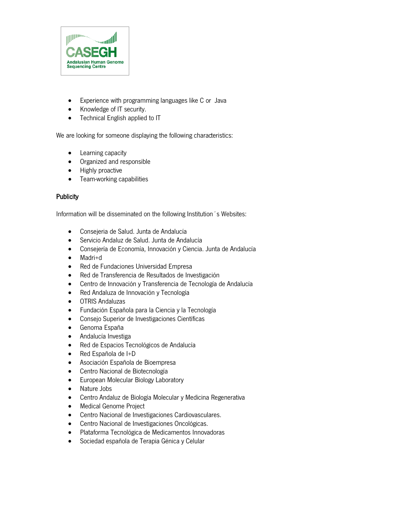

- Experience with programming languages like C or Java
- Knowledge of IT security.
- Technical English applied to IT

We are looking for someone displaying the following characteristics:

- Learning capacity
- Organized and responsible
- Highly proactive
- Team-working capabilities

#### **Publicity**

Information will be disseminated on the following Institution´s Websites:

- Consejeria de Salud. Junta de Andalucía
- Servicio Andaluz de Salud. Junta de Andalucía
- Consejería de Economía, Innovación y Ciencia. Junta de Andalucía
- Madri+d
- Red de Fundaciones Universidad Empresa
- Red de Transferencia de Resultados de Investigación
- Centro de Innovación y Transferencia de Tecnología de Andalucía
- Red Andaluza de Innovación y Tecnología
- OTRIS Andaluzas
- Fundación Española para la Ciencia y la Tecnología
- Consejo Superior de Investigaciones Científicas
- Genoma España
- Andalucía Investiga
- Red de Espacios Tecnológicos de Andalucía
- Red Española de I+D
- Asociación Española de Bioempresa
- Centro Nacional de Biotecnología
- European Molecular Biology Laboratory
- Nature Jobs
- Centro Andaluz de Biología Molecular y Medicina Regenerativa
- Medical Genome Project
- Centro Nacional de Investigaciones Cardiovasculares.
- Centro Nacional de Investigaciones Oncológicas.
- Plataforma Tecnológica de Medicamentos Innovadoras
- Sociedad española de Terapia Génica y Celular